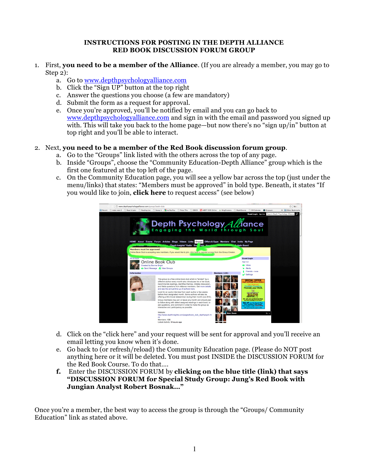## **INSTRUCTIONS FOR POSTING IN THE DEPTH ALLIANCE RED BOOK DISCUSSION FORUM GROUP**

- 1. First, **you need to be a member of the Alliance**. (If you are already a member, you may go to Step 2):
	- a. Go to www.depthpsychologyalliance.com
	- b. Click the "Sign UP" button at the top right
	- c. Answer the questions you choose (a few are mandatory)
	- d. Submit the form as a request for approval.
	- e. Once you're approved, you'll be notified by email and you can go back to www.depthpsychologyalliance.com and sign in with the email and password you signed up with. This will take you back to the home page—but now there's no "sign up/in" button at top right and you'll be able to interact.

## 2. Next, **you need to be a member of the Red Book discussion forum group**.

- a. Go to the "Groups" link listed with the others across the top of any page.
- b. Inside "Groups", choose the "Community Education-Depth Alliance" group which is the first one featured at the top left of the page.
- c. On the Community Education page, you will see a yellow bar across the top (just under the menu/links) that states: "Members must be approved" in bold type. Beneath, it states "If you would like to join, **click here** to request access" (see below)



- d. Click on the "click here" and your request will be sent for approval and you'll receive an email letting you know when it's done.
- e. Go back to (or refresh/reload) the Community Education page. (Please do NOT post anything here or it will be deleted. You must post INSIDE the DISCUSSION FORUM for the Red Book Course. To do that….
- **f.** Enter the DISCUSSION FORUM by **clicking on the blue title (link) that says "DISCUSSION FORUM for Special Study Group: Jung's Red Book with Jungian Analyst Robert Bosnak…"**

Once you're a member, the best way to access the group is through the "Groups/ Community Education" link as stated above.